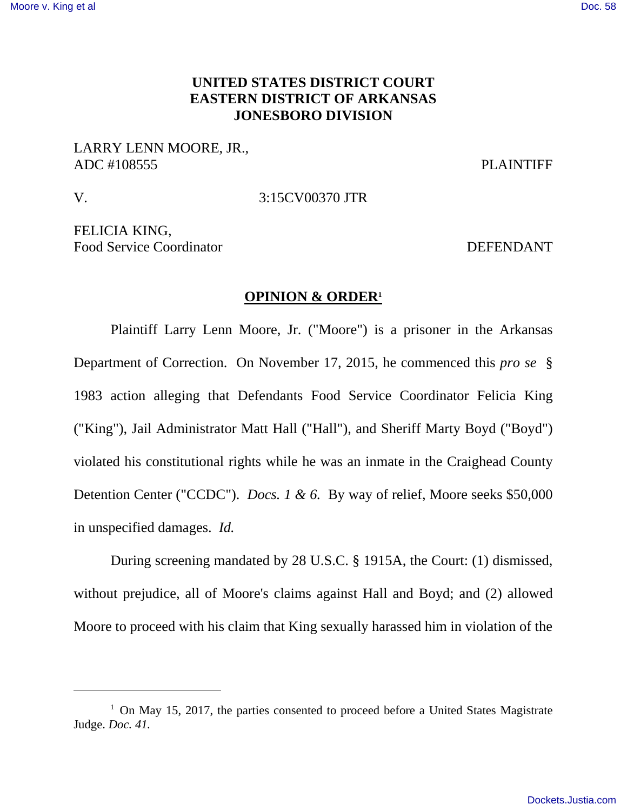# **UNITED STATES DISTRICT COURT EASTERN DISTRICT OF ARKANSAS JONESBORO DIVISION**

# LARRY LENN MOORE, JR., ADC #108555 PLAINTIFF

-

V. 3:15CV00370 JTR

FELICIA KING, Food Service Coordinator **DEFENDANT** 

#### **OPINION & ORDER<sup>1</sup>**

 Plaintiff Larry Lenn Moore, Jr. ("Moore") is a prisoner in the Arkansas Department of Correction. On November 17, 2015, he commenced this *pro se* § 1983 action alleging that Defendants Food Service Coordinator Felicia King ("King"), Jail Administrator Matt Hall ("Hall"), and Sheriff Marty Boyd ("Boyd") violated his constitutional rights while he was an inmate in the Craighead County Detention Center ("CCDC"). *Docs. 1 & 6.* By way of relief, Moore seeks \$50,000 in unspecified damages. *Id.*

 During screening mandated by 28 U.S.C. § 1915A, the Court: (1) dismissed, without prejudice, all of Moore's claims against Hall and Boyd; and (2) allowed Moore to proceed with his claim that King sexually harassed him in violation of the

 $1$  On May 15, 2017, the parties consented to proceed before a United States Magistrate Judge. *Doc. 41.*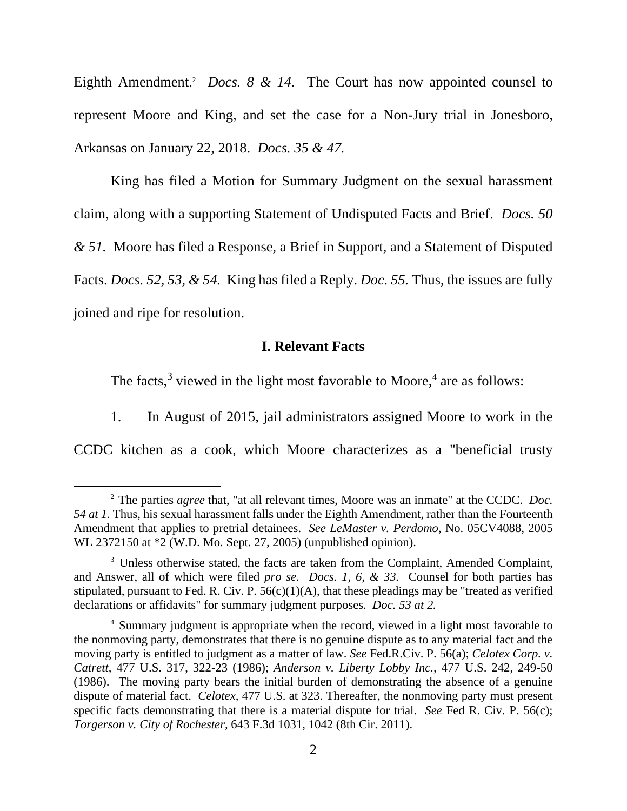Eighth Amendment.<sup>2</sup> *Docs. 8 & 14*. The Court has now appointed counsel to represent Moore and King, and set the case for a Non-Jury trial in Jonesboro, Arkansas on January 22, 2018. *Docs. 35 & 47.* 

King has filed a Motion for Summary Judgment on the sexual harassment claim, along with a supporting Statement of Undisputed Facts and Brief. *Docs. 50 & 51.* Moore has filed a Response, a Brief in Support, and a Statement of Disputed Facts. *Docs. 52, 53, & 54.* King has filed a Reply. *Doc. 55.* Thus, the issues are fully joined and ripe for resolution.

## **I. Relevant Facts**

The facts, $3$  viewed in the light most favorable to Moore, $4$  are as follows:

1. In August of 2015, jail administrators assigned Moore to work in the

CCDC kitchen as a cook, which Moore characterizes as a "beneficial trusty

-

<sup>2</sup> The parties *agree* that, "at all relevant times, Moore was an inmate" at the CCDC. *Doc. 54 at 1.* Thus, his sexual harassment falls under the Eighth Amendment, rather than the Fourteenth Amendment that applies to pretrial detainees. *See LeMaster v. Perdomo*, No. 05CV4088, 2005 WL 2372150 at \*2 (W.D. Mo. Sept. 27, 2005) (unpublished opinion).

<sup>&</sup>lt;sup>3</sup> Unless otherwise stated, the facts are taken from the Complaint, Amended Complaint, and Answer, all of which were filed *pro se. Docs. 1, 6, & 33.* Counsel for both parties has stipulated, pursuant to Fed. R. Civ. P.  $56(c)(1)(A)$ , that these pleadings may be "treated as verified declarations or affidavits" for summary judgment purposes. *Doc. 53 at 2.*

<sup>4</sup> Summary judgment is appropriate when the record, viewed in a light most favorable to the nonmoving party, demonstrates that there is no genuine dispute as to any material fact and the moving party is entitled to judgment as a matter of law. *See* Fed.R.Civ. P. 56(a); *Celotex Corp. v. Catrett,* 477 U.S. 317, 322-23 (1986); *Anderson v. Liberty Lobby Inc.,* 477 U.S. 242, 249-50 (1986). The moving party bears the initial burden of demonstrating the absence of a genuine dispute of material fact. *Celotex,* 477 U.S. at 323. Thereafter, the nonmoving party must present specific facts demonstrating that there is a material dispute for trial. *See* Fed R. Civ. P. 56(c); *Torgerson v. City of Rochester,* 643 F.3d 1031, 1042 (8th Cir. 2011).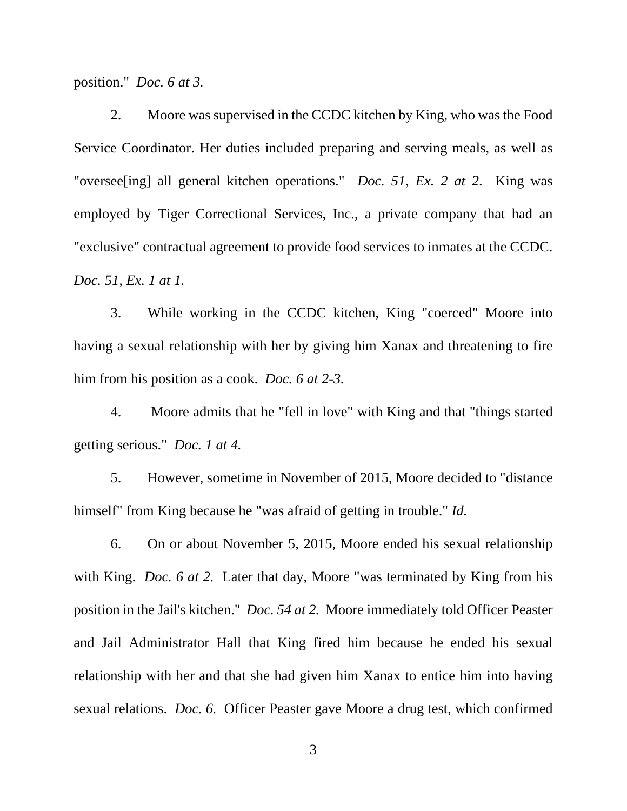position." *Doc. 6 at 3.*

 2. Moore was supervised in the CCDC kitchen by King, who was the Food Service Coordinator. Her duties included preparing and serving meals, as well as "oversee[ing] all general kitchen operations." *Doc. 51, Ex. 2 at 2*. King was employed by Tiger Correctional Services, Inc., a private company that had an "exclusive" contractual agreement to provide food services to inmates at the CCDC. *Doc. 51, Ex. 1 at 1.* 

3. While working in the CCDC kitchen, King "coerced" Moore into having a sexual relationship with her by giving him Xanax and threatening to fire him from his position as a cook. *Doc. 6 at 2-3.* 

 4. Moore admits that he "fell in love" with King and that "things started getting serious." *Doc. 1 at 4.*

 5. However, sometime in November of 2015, Moore decided to "distance himself" from King because he "was afraid of getting in trouble." *Id.*

 6. On or about November 5, 2015, Moore ended his sexual relationship with King. *Doc. 6 at 2.* Later that day, Moore "was terminated by King from his position in the Jail's kitchen." *Doc. 54 at 2.* Moore immediately told Officer Peaster and Jail Administrator Hall that King fired him because he ended his sexual relationship with her and that she had given him Xanax to entice him into having sexual relations. *Doc. 6.* Officer Peaster gave Moore a drug test, which confirmed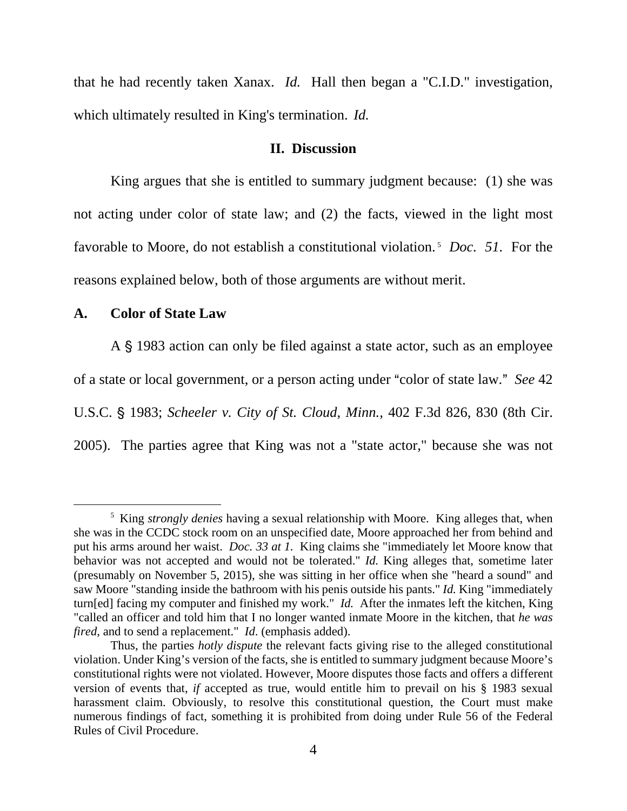that he had recently taken Xanax. *Id.* Hall then began a "C.I.D." investigation, which ultimately resulted in King's termination. *Id.* 

## **II. Discussion**

 King argues that she is entitled to summary judgment because: (1) she was not acting under color of state law; and (2) the facts, viewed in the light most favorable to Moore, do not establish a constitutional violation.<sup>5</sup> *Doc. 51.* For the reasons explained below, both of those arguments are without merit.

#### **A. Color of State Law**

-

A § 1983 action can only be filed against a state actor, such as an employee of a state or local government, or a person acting under "color of state law." See 42 U.S.C. § 1983; *Scheeler v. City of St. Cloud, Minn.*, 402 F.3d 826, 830 (8th Cir. 2005). The parties agree that King was not a "state actor," because she was not

<sup>&</sup>lt;sup>5</sup> King *strongly denies* having a sexual relationship with Moore. King alleges that, when she was in the CCDC stock room on an unspecified date, Moore approached her from behind and put his arms around her waist. *Doc. 33 at 1.* King claims she "immediately let Moore know that behavior was not accepted and would not be tolerated." *Id.* King alleges that, sometime later (presumably on November 5, 2015), she was sitting in her office when she "heard a sound" and saw Moore "standing inside the bathroom with his penis outside his pants." *Id.* King "immediately turn[ed] facing my computer and finished my work." *Id.* After the inmates left the kitchen, King "called an officer and told him that I no longer wanted inmate Moore in the kitchen, that *he was fired*, and to send a replacement." *Id*. (emphasis added).

Thus, the parties *hotly dispute* the relevant facts giving rise to the alleged constitutional violation. Under King's version of the facts, she is entitled to summary judgment because Moore's constitutional rights were not violated. However, Moore disputes those facts and offers a different version of events that, *if* accepted as true, would entitle him to prevail on his § 1983 sexual harassment claim. Obviously, to resolve this constitutional question, the Court must make numerous findings of fact, something it is prohibited from doing under Rule 56 of the Federal Rules of Civil Procedure.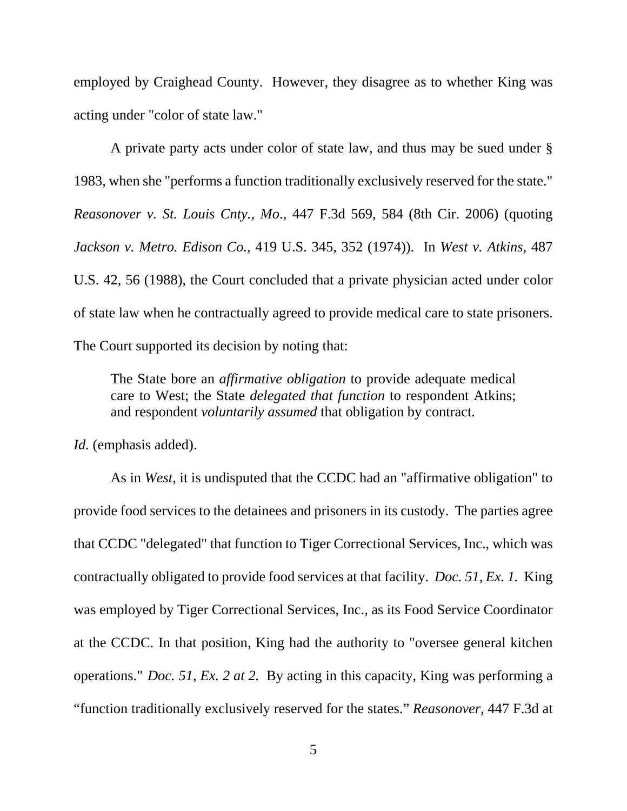employed by Craighead County. However, they disagree as to whether King was acting under "color of state law."

 A private party acts under color of state law, and thus may be sued under § 1983, when she "performs a function traditionally exclusively reserved for the state." *Reasonover v. St. Louis Cnty., Mo*., 447 F.3d 569, 584 (8th Cir. 2006) (quoting *Jackson v. Metro. Edison Co.,* 419 U.S. 345, 352 (1974)). In *West v. Atkins,* 487 U.S. 42, 56 (1988), the Court concluded that a private physician acted under color of state law when he contractually agreed to provide medical care to state prisoners. The Court supported its decision by noting that:

The State bore an *affirmative obligation* to provide adequate medical care to West; the State *delegated that function* to respondent Atkins; and respondent *voluntarily assumed* that obligation by contract.

*Id.* (emphasis added).

 As in *West*, it is undisputed that the CCDC had an "affirmative obligation" to provide food services to the detainees and prisoners in its custody. The parties agree that CCDC "delegated" that function to Tiger Correctional Services, Inc., which was contractually obligated to provide food services at that facility. *Doc. 51, Ex. 1.* King was employed by Tiger Correctional Services, Inc., as its Food Service Coordinator at the CCDC. In that position, King had the authority to "oversee general kitchen operations." *Doc. 51, Ex. 2 at 2.* By acting in this capacity, King was performing a "function traditionally exclusively reserved for the states." *Reasonover,* 447 F.3d at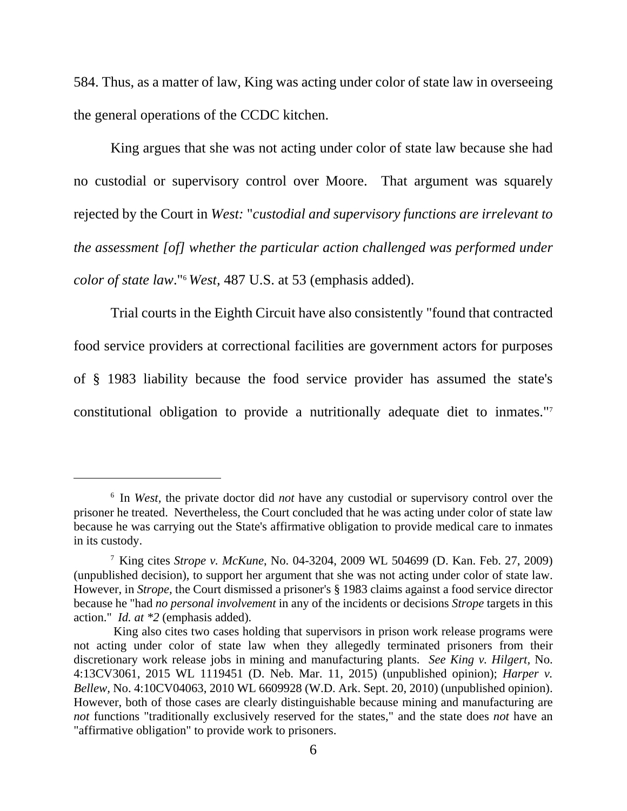584. Thus, as a matter of law, King was acting under color of state law in overseeing the general operations of the CCDC kitchen.

 King argues that she was not acting under color of state law because she had no custodial or supervisory control over Moore. That argument was squarely rejected by the Court in *West:* "*custodial and supervisory functions are irrelevant to the assessment [of] whether the particular action challenged was performed under color of state law*."<sup>6</sup> *West,* 487 U.S. at 53 (emphasis added).

 Trial courts in the Eighth Circuit have also consistently "found that contracted food service providers at correctional facilities are government actors for purposes of § 1983 liability because the food service provider has assumed the state's constitutional obligation to provide a nutritionally adequate diet to inmates."<sup>7</sup>

-

<sup>6</sup> In *West,* the private doctor did *not* have any custodial or supervisory control over the prisoner he treated. Nevertheless, the Court concluded that he was acting under color of state law because he was carrying out the State's affirmative obligation to provide medical care to inmates in its custody.

<sup>7</sup> King cites *Strope v. McKune*, No. 04-3204, 2009 WL 504699 (D. Kan. Feb. 27, 2009) (unpublished decision), to support her argument that she was not acting under color of state law. However, in *Strope,* the Court dismissed a prisoner's § 1983 claims against a food service director because he "had *no personal involvement* in any of the incidents or decisions *Strope* targets in this action." *Id. at \*2* (emphasis added)*.*

King also cites two cases holding that supervisors in prison work release programs were not acting under color of state law when they allegedly terminated prisoners from their discretionary work release jobs in mining and manufacturing plants. *See King v. Hilgert,* No. 4:13CV3061, 2015 WL 1119451 (D. Neb. Mar. 11, 2015) (unpublished opinion); *Harper v. Bellew,* No. 4:10CV04063, 2010 WL 6609928 (W.D. Ark. Sept. 20, 2010) (unpublished opinion). However, both of those cases are clearly distinguishable because mining and manufacturing are *not* functions "traditionally exclusively reserved for the states," and the state does *not* have an "affirmative obligation" to provide work to prisoners.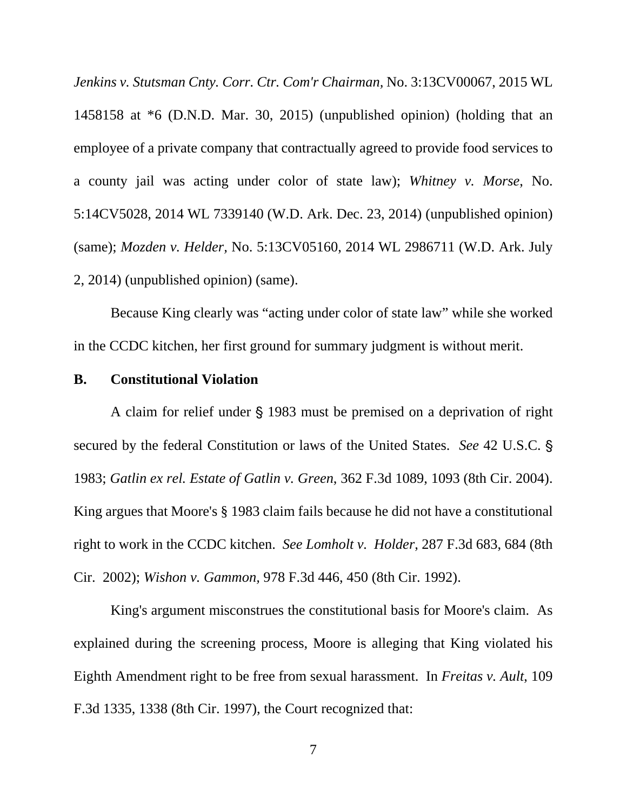*Jenkins v. Stutsman Cnty. Corr. Ctr. Com'r Chairman,* No. 3:13CV00067, 2015 WL 1458158 at \*6 (D.N.D. Mar. 30, 2015) (unpublished opinion) (holding that an employee of a private company that contractually agreed to provide food services to a county jail was acting under color of state law); *Whitney v. Morse*, No. 5:14CV5028, 2014 WL 7339140 (W.D. Ark. Dec. 23, 2014) (unpublished opinion) (same); *Mozden v. Helder,* No. 5:13CV05160, 2014 WL 2986711 (W.D. Ark. July 2, 2014) (unpublished opinion) (same).

 Because King clearly was "acting under color of state law" while she worked in the CCDC kitchen, her first ground for summary judgment is without merit.

### **B. Constitutional Violation**

A claim for relief under  $\S$  1983 must be premised on a deprivation of right secured by the federal Constitution or laws of the United States. *See* 42 U.S.C. ' 1983; *Gatlin ex rel. Estate of Gatlin v. Green*, 362 F.3d 1089, 1093 (8th Cir. 2004). King argues that Moore's § 1983 claim fails because he did not have a constitutional right to work in the CCDC kitchen. *See Lomholt v. Holder*, 287 F.3d 683, 684 (8th Cir. 2002); *Wishon v. Gammon,* 978 F.3d 446, 450 (8th Cir. 1992).

King's argument misconstrues the constitutional basis for Moore's claim. As explained during the screening process, Moore is alleging that King violated his Eighth Amendment right to be free from sexual harassment. In *Freitas v. Ault*, 109 F.3d 1335, 1338 (8th Cir. 1997), the Court recognized that: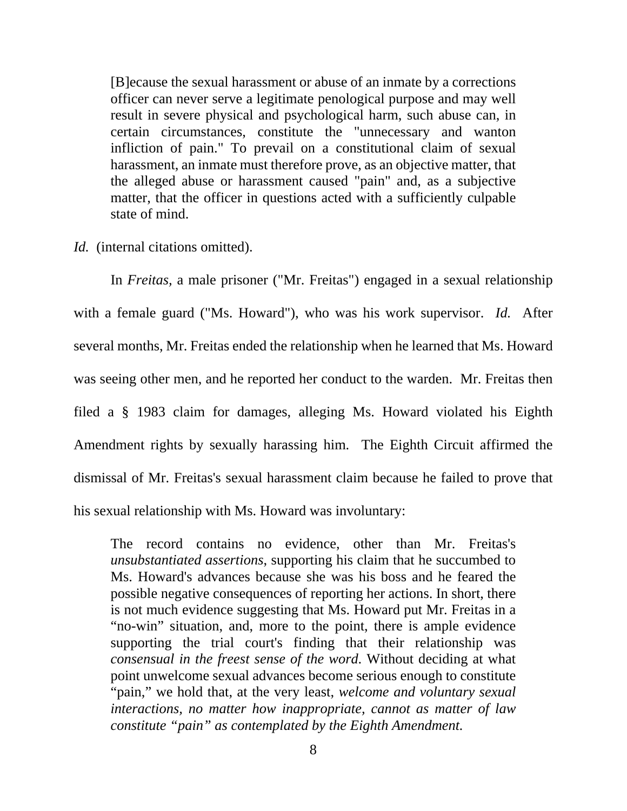[B]ecause the sexual harassment or abuse of an inmate by a corrections officer can never serve a legitimate penological purpose and may well result in severe physical and psychological harm, such abuse can, in certain circumstances, constitute the "unnecessary and wanton infliction of pain." To prevail on a constitutional claim of sexual harassment, an inmate must therefore prove, as an objective matter, that the alleged abuse or harassment caused "pain" and, as a subjective matter, that the officer in questions acted with a sufficiently culpable state of mind.

*Id.* (internal citations omitted).

 In *Freitas,* a male prisoner ("Mr. Freitas") engaged in a sexual relationship with a female guard ("Ms. Howard"), who was his work supervisor. *Id.* After several months, Mr. Freitas ended the relationship when he learned that Ms. Howard was seeing other men, and he reported her conduct to the warden. Mr. Freitas then filed a § 1983 claim for damages, alleging Ms. Howard violated his Eighth Amendment rights by sexually harassing him. The Eighth Circuit affirmed the dismissal of Mr. Freitas's sexual harassment claim because he failed to prove that his sexual relationship with Ms. Howard was involuntary:

The record contains no evidence, other than Mr. Freitas's *unsubstantiated assertions*, supporting his claim that he succumbed to Ms. Howard's advances because she was his boss and he feared the possible negative consequences of reporting her actions. In short, there is not much evidence suggesting that Ms. Howard put Mr. Freitas in a "no-win" situation, and, more to the point, there is ample evidence supporting the trial court's finding that their relationship was *consensual in the freest sense of the word*. Without deciding at what point unwelcome sexual advances become serious enough to constitute "pain," we hold that, at the very least, *welcome and voluntary sexual interactions, no matter how inappropriate, cannot as matter of law constitute "pain" as contemplated by the Eighth Amendment.*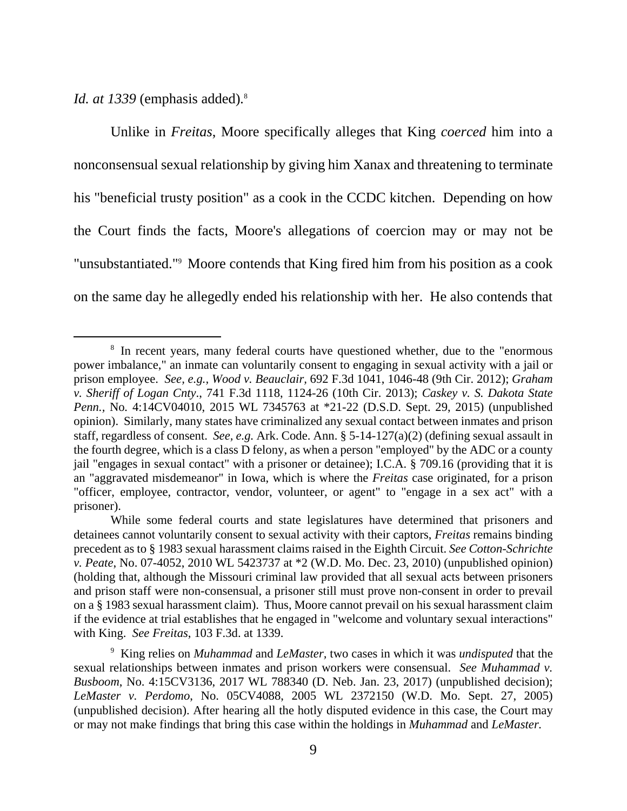*Id. at 1339* (emphasis added)*.* 8 

-

 Unlike in *Freitas*, Moore specifically alleges that King *coerced* him into a nonconsensual sexual relationship by giving him Xanax and threatening to terminate his "beneficial trusty position" as a cook in the CCDC kitchen. Depending on how the Court finds the facts, Moore's allegations of coercion may or may not be "unsubstantiated."<sup>9</sup> Moore contends that King fired him from his position as a cook on the same day he allegedly ended his relationship with her. He also contends that

<sup>&</sup>lt;sup>8</sup> In recent years, many federal courts have questioned whether, due to the "enormous" power imbalance," an inmate can voluntarily consent to engaging in sexual activity with a jail or prison employee. *See, e.g., Wood v. Beauclair,* 692 F.3d 1041, 1046-48 (9th Cir. 2012); *Graham v. Sheriff of Logan Cnty*., 741 F.3d 1118, 1124-26 (10th Cir. 2013); *Caskey v. S. Dakota State Penn.,* No*.* 4:14CV04010, 2015 WL 7345763 at \*21-22 (D.S.D. Sept. 29, 2015) (unpublished opinion). Similarly, many states have criminalized any sexual contact between inmates and prison staff, regardless of consent. *See, e.g.* Ark. Code. Ann. § 5-14-127(a)(2) (defining sexual assault in the fourth degree, which is a class D felony, as when a person "employed" by the ADC or a county jail "engages in sexual contact" with a prisoner or detainee); I.C.A. § 709.16 (providing that it is an "aggravated misdemeanor" in Iowa, which is where the *Freitas* case originated, for a prison "officer, employee, contractor, vendor, volunteer, or agent" to "engage in a sex act" with a prisoner).

While some federal courts and state legislatures have determined that prisoners and detainees cannot voluntarily consent to sexual activity with their captors, *Freitas* remains binding precedent as to § 1983 sexual harassment claims raised in the Eighth Circuit. *See Cotton-Schrichte v. Peate*, No. 07-4052, 2010 WL 5423737 at \*2 (W.D. Mo. Dec. 23, 2010) (unpublished opinion) (holding that, although the Missouri criminal law provided that all sexual acts between prisoners and prison staff were non-consensual, a prisoner still must prove non-consent in order to prevail on a § 1983 sexual harassment claim). Thus, Moore cannot prevail on his sexual harassment claim if the evidence at trial establishes that he engaged in "welcome and voluntary sexual interactions" with King. *See Freitas*, 103 F.3d. at 1339.

<sup>9</sup> King relies on *Muhammad* and *LeMaster,* two cases in which it was *undisputed* that the sexual relationships between inmates and prison workers were consensual. *See Muhammad v. Busboom*, No. 4:15CV3136, 2017 WL 788340 (D. Neb. Jan. 23, 2017) (unpublished decision); *LeMaster v. Perdomo*, No. 05CV4088, 2005 WL 2372150 (W.D. Mo. Sept. 27, 2005) (unpublished decision). After hearing all the hotly disputed evidence in this case, the Court may or may not make findings that bring this case within the holdings in *Muhammad* and *LeMaster.*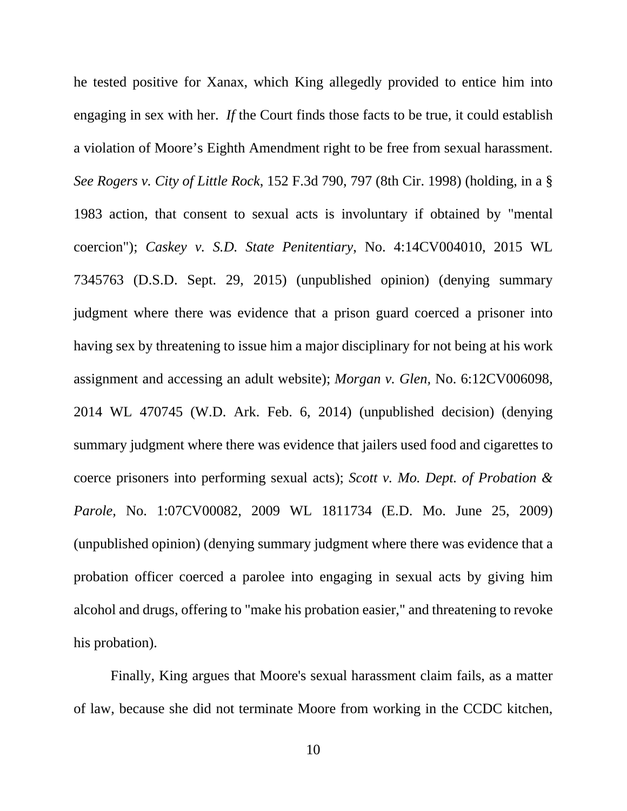he tested positive for Xanax, which King allegedly provided to entice him into engaging in sex with her. *If* the Court finds those facts to be true, it could establish a violation of Moore's Eighth Amendment right to be free from sexual harassment. *See Rogers v. City of Little Rock*, 152 F.3d 790, 797 (8th Cir. 1998) (holding, in a § 1983 action, that consent to sexual acts is involuntary if obtained by "mental coercion"); *Caskey v. S.D. State Penitentiary*, No. 4:14CV004010, 2015 WL 7345763 (D.S.D. Sept. 29, 2015) (unpublished opinion) (denying summary judgment where there was evidence that a prison guard coerced a prisoner into having sex by threatening to issue him a major disciplinary for not being at his work assignment and accessing an adult website); *Morgan v. Glen,* No. 6:12CV006098, 2014 WL 470745 (W.D. Ark. Feb. 6, 2014) (unpublished decision) (denying summary judgment where there was evidence that jailers used food and cigarettes to coerce prisoners into performing sexual acts); *Scott v. Mo. Dept. of Probation & Parole,* No. 1:07CV00082, 2009 WL 1811734 (E.D. Mo. June 25, 2009) (unpublished opinion) (denying summary judgment where there was evidence that a probation officer coerced a parolee into engaging in sexual acts by giving him alcohol and drugs, offering to "make his probation easier," and threatening to revoke his probation).

 Finally, King argues that Moore's sexual harassment claim fails, as a matter of law, because she did not terminate Moore from working in the CCDC kitchen,